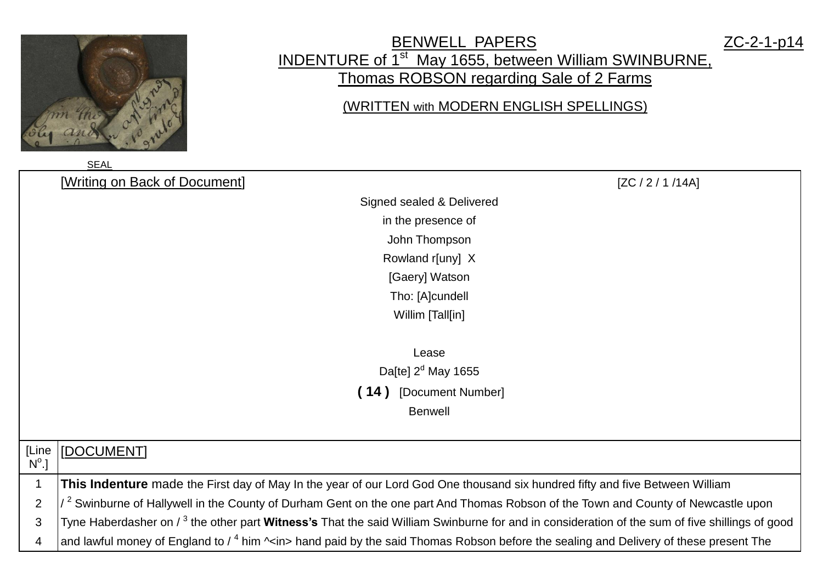

## BENWELL PAPERS ZC-2-1-p14 INDENTURE of 1<sup>st</sup> May 1655, between William SWINBURNE, Thomas ROBSON regarding Sale of 2 Farms

## (WRITTEN with MODERN ENGLISH SPELLINGS)

|                | <b>SEAL</b>                                                                                                                                                      |
|----------------|------------------------------------------------------------------------------------------------------------------------------------------------------------------|
|                | [Writing on Back of Document]<br>[ZC / 2 / 1 / 14A]                                                                                                              |
|                | Signed sealed & Delivered                                                                                                                                        |
|                | in the presence of                                                                                                                                               |
|                | John Thompson                                                                                                                                                    |
|                | Rowland r[uny] X                                                                                                                                                 |
|                | [Gaery] Watson                                                                                                                                                   |
|                | Tho: [A]cundell                                                                                                                                                  |
|                | Willim [Tall[in]                                                                                                                                                 |
|                |                                                                                                                                                                  |
|                | Lease                                                                                                                                                            |
|                | Da[te] $2d$ May 1655                                                                                                                                             |
|                | (14)<br>[Document Number]                                                                                                                                        |
|                | <b>Benwell</b>                                                                                                                                                   |
|                |                                                                                                                                                                  |
| [Line          | [DOCUMENT]                                                                                                                                                       |
| $N^{\circ}$ .] |                                                                                                                                                                  |
| 1              | This Indenture made the First day of May In the year of our Lord God One thousand six hundred fifty and five Between William                                     |
| $\overline{2}$ | $\sqrt{2}$ Swinburne of Hallywell in the County of Durham Gent on the one part And Thomas Robson of the Town and County of Newcastle upon                        |
| 3              | Tyne Haberdasher on / <sup>3</sup> the other part <b>Witness's</b> That the said William Swinburne for and in consideration of the sum of five shillings of good |
| 4              | and lawful money of England to / $^4$ him ^ <in> hand paid by the said Thomas Robson before the sealing and Delivery of these present The</in>                   |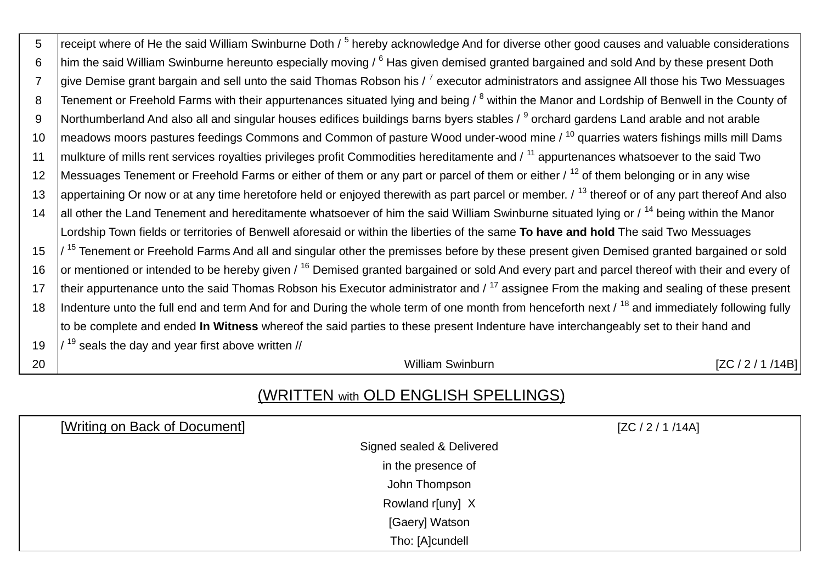| 5              | receipt where of He the said William Swinburne Doth / <sup>5</sup> hereby acknowledge And for diverse other good causes and valuable considerations       |
|----------------|-----------------------------------------------------------------------------------------------------------------------------------------------------------|
| 6              | him the said William Swinburne hereunto especially moving / <sup>6</sup> Has given demised granted bargained and sold And by these present Doth           |
| $\overline{7}$ | give Demise grant bargain and sell unto the said Thomas Robson his / <sup>7</sup> executor administrators and assignee All those his Two Messuages        |
| 8              | Tenement or Freehold Farms with their appurtenances situated lying and being / <sup>8</sup> within the Manor and Lordship of Benwell in the County of     |
| 9              | Northumberland And also all and singular houses edifices buildings barns byers stables / <sup>9</sup> orchard gardens Land arable and not arable          |
| 10             | meadows moors pastures feedings Commons and Common of pasture Wood under-wood mine / <sup>10</sup> quarries waters fishings mills mill Dams               |
| 11             | mulkture of mills rent services royalties privileges profit Commodities hereditamente and / <sup>11</sup> appurtenances whatsoever to the said Two        |
| 12             | Messuages Tenement or Freehold Farms or either of them or any part or parcel of them or either / <sup>12</sup> of them belonging or in any wise           |
| 13             | appertaining Or now or at any time heretofore held or enjoyed therewith as part parcel or member. / <sup>13</sup> thereof or of any part thereof And also |
| 14             | all other the Land Tenement and hereditamente whatsoever of him the said William Swinburne situated lying or / <sup>14</sup> being within the Manor       |
|                | Lordship Town fields or territories of Benwell aforesaid or within the liberties of the same To have and hold The said Two Messuages                      |
| 15             | $1^{15}$ Tenement or Freehold Farms And all and singular other the premisses before by these present given Demised granted bargained or sold              |
| 16             | or mentioned or intended to be hereby given / <sup>16</sup> Demised granted bargained or sold And every part and parcel thereof with their and every of   |
| 17             | their appurtenance unto the said Thomas Robson his Executor administrator and / <sup>17</sup> assignee From the making and sealing of these present       |
| 18             | Indenture unto the full end and term And for and During the whole term of one month from henceforth next / <sup>18</sup> and immediately following fully  |
|                | to be complete and ended In Witness whereof the said parties to these present Indenture have interchangeably set to their hand and                        |
| 19             | $\frac{19}{19}$ seals the day and year first above written //                                                                                             |
| 20             | <b>William Swinburn</b><br>[ZC / 2 / 1 / 14B]                                                                                                             |

## (WRITTEN with OLD ENGLISH SPELLINGS)

| [Writing on Back of Document] | [ZC / 2 / 1 / 14A] |
|-------------------------------|--------------------|
| Signed sealed & Delivered     |                    |
| in the presence of            |                    |
| John Thompson                 |                    |
| Rowland r[uny] X              |                    |
| [Gaery] Watson                |                    |
| Tho: [A]cundell               |                    |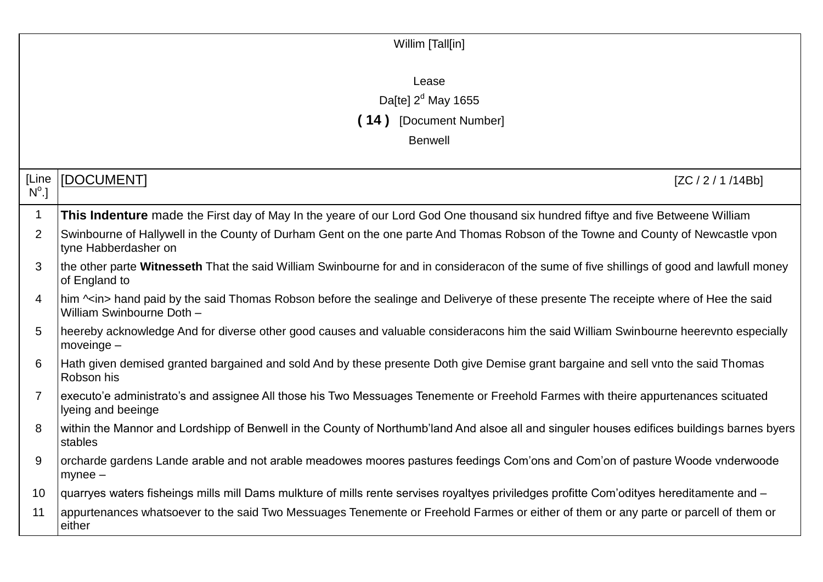|                       | Willim [Tall[in]                                                                                                                                                       |
|-----------------------|------------------------------------------------------------------------------------------------------------------------------------------------------------------------|
|                       | Lease                                                                                                                                                                  |
|                       | Da[te] $2d$ May 1655                                                                                                                                                   |
|                       | (14) [Document Number]                                                                                                                                                 |
|                       | <b>Benwell</b>                                                                                                                                                         |
|                       |                                                                                                                                                                        |
| [Line<br>$N^{\circ}.$ | [DOCUMENT]<br>[ZC / 2 / 1 / 14Bb]                                                                                                                                      |
| 1                     | This Indenture made the First day of May In the yeare of our Lord God One thousand six hundred fiftye and five Betweene William                                        |
| 2                     | Swinbourne of Hallywell in the County of Durham Gent on the one parte And Thomas Robson of the Towne and County of Newcastle vpon<br>tyne Habberdasher on              |
| 3                     | the other parte Witnesseth That the said William Swinbourne for and in consideracon of the sume of five shillings of good and lawfull money<br>of England to           |
| 4                     | him $\sim$ in> hand paid by the said Thomas Robson before the sealinge and Deliverye of these presente The receipte where of Hee the said<br>William Swinbourne Doth - |
| 5                     | heereby acknowledge And for diverse other good causes and valuable consideracons him the said William Swinbourne heerevnto especially<br>$moveinge -$                  |
| 6                     | Hath given demised granted bargained and sold And by these presente Doth give Demise grant bargaine and sell vnto the said Thomas<br>Robson his                        |
| 7                     | executo'e administrato's and assignee All those his Two Messuages Tenemente or Freehold Farmes with theire appurtenances scituated<br>lyeing and beeinge               |
| 8                     | within the Mannor and Lordshipp of Benwell in the County of Northumb'land And alsoe all and singuler houses edifices buildings barnes byers<br>stables                 |
| 9                     | orcharde gardens Lande arable and not arable meadowes moores pastures feedings Com'ons and Com'on of pasture Woode vnderwoode<br>$mynee -$                             |
| 10                    | quarryes waters fisheings mills mill Dams mulkture of mills rente servises royaltyes priviledges profitte Com'odityes hereditamente and -                              |
| 11                    | appurtenances whatsoever to the said Two Messuages Tenemente or Freehold Farmes or either of them or any parte or parcell of them or<br>either                         |